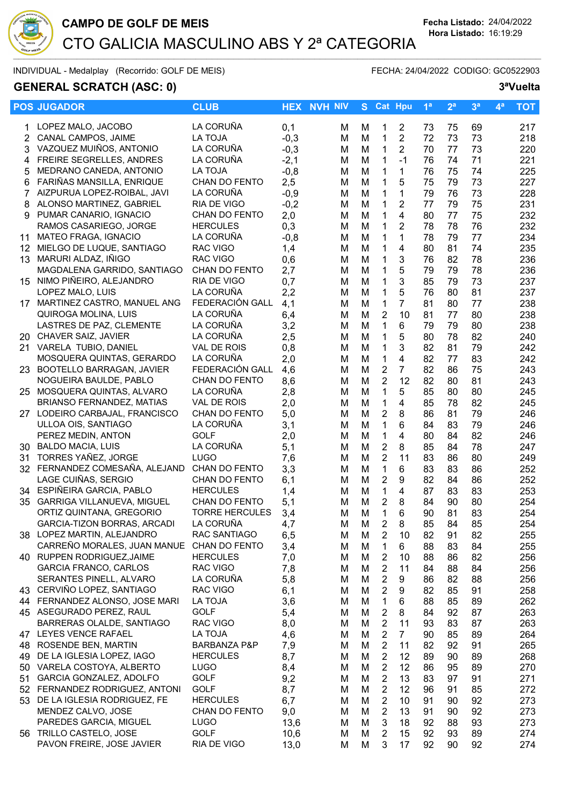

## CAMPO DE GOLF DE MEIS<br>
Fecha Listado: 24/04/2022 CTO GALICIA MASCULINO ABS Y 2ª CATEGORIA  $\overline{\text{Sorems}}$

INDIVIDUAL - Medalplay (Recorrido: GOLF DE MEIS) FECHA: 24/04/2022 CODIGO: GC0522903

## GENERAL SCRATCH (ASC: 0) 3<sup>a</sup>Vuelta

|     | <b>POS JUGADOR</b>                                   | <b>CLUB</b>                  |              | <b>HEX NVH NIV</b> | S.     |                     | <b>Cat Hpu</b> | 1 <sup>a</sup> | 2 <sup>a</sup> | 3 <sup>a</sup> | 4 <sup>a</sup> | <b>TOT</b> |
|-----|------------------------------------------------------|------------------------------|--------------|--------------------|--------|---------------------|----------------|----------------|----------------|----------------|----------------|------------|
| 1   | LOPEZ MALO, JACOBO                                   | LA CORUÑA                    | 0,1          | м                  | м      | 1                   | 2              | 73             | 75             | 69             |                | 217        |
| 2   | CANAL CAMPOS, JAIME                                  | <b>LA TOJA</b>               | $-0,3$       | M                  | M      | $\mathbf{1}$        | $\overline{2}$ | 72             | 73             | 73             |                | 218        |
| 3   | VAZQUEZ MUIÑOS, ANTONIO                              | LA CORUÑA                    | $-0,3$       | M                  | M      | $\mathbf{1}$        | 2              | 70             | 77             | 73             |                | 220        |
| 4   | FREIRE SEGRELLES, ANDRES                             | LA CORUÑA                    | $-2,1$       | M                  | M      | 1                   | $-1$           | 76             | 74             | 71             |                | 221        |
| 5   | MEDRANO CANEDA, ANTONIO                              | <b>LA TOJA</b>               | $-0,8$       | M                  | M      | $\mathbf 1$         | $\mathbf{1}$   | 76             | 75             | 74             |                | 225        |
| 6   | FARIÑAS MANSILLA, ENRIQUE                            | CHAN DO FENTO                | 2,5          | M                  | M      | 1                   | 5              | 75             | 79             | 73             |                | 227        |
| 7   | AIZPURUA LOPEZ-ROIBAL, JAVI                          | LA CORUÑA                    | $-0,9$       | м                  | M      | 1                   | 1              | 79             | 76             | 73             |                | 228        |
| 8   | ALONSO MARTINEZ, GABRIEL                             | RIA DE VIGO                  | $-0,2$       | M                  | M      | 1                   | 2              | 77             | 79             | 75             |                | 231        |
| 9   | PUMAR CANARIO, IGNACIO                               | CHAN DO FENTO                | 2,0          | M                  | M      | 1                   | 4              | 80             | 77             | 75             |                | 232        |
|     | RAMOS CASARIEGO, JORGE                               | <b>HERCULES</b>              | 0,3          | M                  | M      | 1                   | 2              | 78             | 78             | 76             |                | 232        |
| 11  | MATEO FRAGA, IGNACIO                                 | LA CORUÑA                    | $-0,8$       | M                  | M      | 1                   | 1              | 78             | 79             | 77             |                | 234        |
| 12  | MIELGO DE LUQUE, SANTIAGO                            | RAC VIGO                     | 1,4          | M                  | M      | 1                   | 4              | 80             | 81             | 74             |                | 235        |
| 13  | MARURI ALDAZ, IÑIGO                                  | RAC VIGO                     | 0,6          | M                  | M      | $\mathbf{1}$        | 3              | 76             | 82             | 78             |                | 236        |
|     | MAGDALENA GARRIDO, SANTIAGO                          | CHAN DO FENTO                | 2,7          | M                  | M      | 1                   | 5              | 79             | 79             | 78             |                | 236        |
|     | 15 NIMO PIÑEIRO, ALEJANDRO                           | <b>RIA DE VIGO</b>           | 0,7          | M                  | M      | $\mathbf 1$         | 3              | 85             | 79             | 73             |                | 237        |
|     | LOPEZ MALO, LUIS                                     | LA CORUÑA                    | 2,2          | M                  | M      | $\mathbf 1$         | 5              | 76             | 80             | 81             |                | 237        |
|     | 17 MARTINEZ CASTRO, MANUEL ANG                       | FEDERACIÓN GALL              | 4,1          | M                  | M      | 1                   | 7              | 81             | 80             | 77             |                | 238        |
|     | QUIROGA MOLINA, LUIS                                 | LA CORUÑA                    | 6,4          | M                  | M      | $\overline{2}$      | 10             | 81             | 77             | 80             |                | 238        |
|     | LASTRES DE PAZ, CLEMENTE                             | LA CORUÑA                    | 3,2          | м                  | M      | 1                   | 6              | 79             | 79             | 80             |                | 238        |
|     | 20 CHAVER SAIZ, JAVIER                               | LA CORUÑA                    | 2,5          | M                  | M      | 1                   | 5              | 80             | 78             | 82             |                | 240        |
| 21. | VARELA TUBIO, DANIEL                                 | <b>VAL DE ROIS</b>           | 0,8          | M                  | M      | 1                   | 3              | 82             | 81             | 79             |                | 242        |
|     | MOSQUERA QUINTAS, GERARDO                            | LA CORUÑA                    | 2,0          | м                  | M      | 1                   | 4              | 82             | 77             | 83             |                | 242        |
| 23. | BOOTELLO BARRAGAN, JAVIER                            | FEDERACIÓN GALL              | 4,6          | M                  | M      | 2                   | $\overline{7}$ | 82             | 86             | 75             |                | 243        |
|     | NOGUEIRA BAULDE, PABLO                               | CHAN DO FENTO                | 8,6          | M                  | M      | $\overline{2}$      | 12             | 82             | 80             | 81             |                | 243        |
| 25  | MOSQUERA QUINTAS, ALVARO                             | LA CORUÑA                    | 2,8          | м                  | M      | $\mathbf 1$         | 5              | 85             | 80             | 80             |                | 245        |
|     | <b>BRIANSO FERNANDEZ, MATIAS</b>                     | VAL DE ROIS                  | 2,0          | м                  | M      | 1                   | 4              | 85             | 78             | 82             |                | 245        |
|     | 27 LODEIRO CARBAJAL, FRANCISCO                       | CHAN DO FENTO                | 5,0          | M                  | M      | $\overline{2}$      | 8              | 86             | 81             | 79             |                | 246        |
|     | ULLOA OIS, SANTIAGO                                  | LA CORUÑA                    | 3,1          | м                  | M      | $\mathbf{1}$        | 6              | 84             | 83             | 79             |                | 246        |
|     | PEREZ MEDIN, ANTON                                   | <b>GOLF</b>                  | 2,0          | м                  | M      | $\mathbf 1$         | 4              | 80             | 84             | 82             |                | 246        |
|     | 30 BALDO MACIA, LUIS                                 | LA CORUÑA                    | 5,1          | M                  | M      | $\overline{2}$      | 8              | 85             | 84             | 78             |                | 247        |
|     | 31 TORRES YAÑEZ, JORGE                               | <b>LUGO</b>                  | 7,6          | M                  | M      | $\overline{2}$      | 11             | 83             | 86             | 80             |                | 249        |
|     | 32 FERNANDEZ COMESAÑA, ALEJAND                       | CHAN DO FENTO                | 3,3          | M                  | M      | $\mathbf{1}$        | 6              | 83             | 83             | 86             |                | 252        |
|     | LAGE CUIÑAS, SERGIO                                  | CHAN DO FENTO                | 6,1          | M                  | M      | $\overline{2}$      | 9              | 82             | 84             | 86             |                | 252        |
|     | 34 ESPIÑEIRA GARCIA, PABLO                           | <b>HERCULES</b>              | 1,4          | M                  | M      | $\mathbf{1}$        | 4              | 87             | 83             | 83             |                | 253        |
|     | 35 GARRIGA VILLANUEVA, MIGUEL                        | CHAN DO FENTO                | 5,1          | M                  | M      | $\overline{2}$      | 8              | 84             | 90             | 80             |                | 254        |
|     | ORTIZ QUINTANA, GREGORIO                             | <b>TORRE HERCULES</b>        | 3,4          | M                  | M      | $\mathbf 1$         | 6              | 90             | 81             | 83             |                | 254        |
|     | GARCIA-TIZON BORRAS, ARCADI                          | LA CORUÑA                    | 4,7          | M                  | M      | $\overline{c}$      | 8              | 85             | 84             | 85             |                | 254        |
|     | 38 LOPEZ MARTIN, ALEJANDRO                           | RAC SANTIAGO                 | 6,5          | M                  | M      | 2                   | 10             | 82             | 91             | 82             |                | 255        |
|     | CARREÑO MORALES, JUAN MANUE CHAN DO FENTO            |                              | 3,4          | M                  | M      | 1                   | 6              | 88             | 83             | 84             |                | 255        |
|     | 40 RUPPEN RODRIGUEZ, JAIME                           | <b>HERCULES</b>              | 7,0          | M                  | M      | $\overline{2}$      | 10             | 88             | 86             | 82             |                | 256        |
|     | <b>GARCIA FRANCO, CARLOS</b>                         | RAC VIGO                     | 7,8          | M                  | M      | $\overline{2}$      | 11             | 84             | 88             | 84             |                | 256        |
|     | SERANTES PINELL, ALVARO                              | LA CORUÑA                    | 5,8          | M                  | M      | $\overline{c}$      | 9              | 86             | 82             | 88             |                | 256        |
|     | 43 CERVIÑO LOPEZ, SANTIAGO                           | RAC VIGO                     | 6,1          | M                  | M      | $\overline{c}$      | 9              | 82             | 85             | 91             |                | 258        |
|     | 44 FERNANDEZ ALONSO, JOSE MARI                       | <b>LA TOJA</b>               | 3,6          | м                  | M      | $\mathbf 1$         | 6              | 88             | 85             | 89             |                | 262        |
|     | 45 ASEGURADO PEREZ, RAUL                             | <b>GOLF</b>                  | 5,4          | M                  | M      | 2                   | 8              | 84             | 92             | 87             |                | 263        |
|     | BARRERAS OLALDE, SANTIAGO                            | RAC VIGO                     | 8,0          | M                  | M      | $\overline{2}$      | 11             | 93             | 83             | 87             |                | 263        |
|     | 47 LEYES VENCE RAFAEL                                | LA TOJA                      | 4,6          | м                  | M      | $\overline{2}$      | $\overline{7}$ | 90             | 85             | 89             |                | 264        |
| 48  | ROSENDE BEN, MARTIN                                  | BARBANZA P&P                 | 7,9          | M                  | M      | $\overline{2}$      | 11             | 82             | 92             | 91             |                | 265        |
| 49  | DE LA IGLESIA LOPEZ, IAGO                            | <b>HERCULES</b>              | 8,7          | M                  | M      | 2                   | 12             | 89             | 90             | 89             |                | 268        |
| 50  | VARELA COSTOYA, ALBERTO                              | <b>LUGO</b>                  | 8,4          | M                  | M      | 2                   | 12             | 86             | 95             | 89             |                | 270        |
| 51  | GARCIA GONZALEZ, ADOLFO                              | <b>GOLF</b>                  | 9,2          | м                  | M      | 2                   | 13             | 83             | 97             | 91             |                | 271        |
|     | 52 FERNANDEZ RODRIGUEZ, ANTONI                       | <b>GOLF</b>                  | 8,7          | M                  | M      | 2<br>$\overline{2}$ | 12             | 96             | 91             | 85<br>92       |                | 272        |
|     | 53 DE LA IGLESIA RODRIGUEZ, FE<br>MENDEZ CALVO, JOSE | <b>HERCULES</b>              | 6,7          | M                  | M      | $\overline{2}$      | 10             | 91             | 90             |                |                | 273        |
|     | PAREDES GARCIA, MIGUEL                               | CHAN DO FENTO<br><b>LUGO</b> | 9,0          | M                  | M      |                     | 13             | 91             | 90             | 92             |                | 273        |
|     | 56 TRILLO CASTELO, JOSE                              | <b>GOLF</b>                  | 13,6<br>10,6 | м<br>м             | M<br>M | 3<br>$\overline{2}$ | 18<br>15       | 92<br>92       | 88<br>93       | 93<br>89       |                | 273<br>274 |
|     | PAVON FREIRE, JOSE JAVIER                            | RIA DE VIGO                  | 13,0         | м                  | M      | 3                   | 17             | 92             | 90             | 92             |                | 274        |
|     |                                                      |                              |              |                    |        |                     |                |                |                |                |                |            |